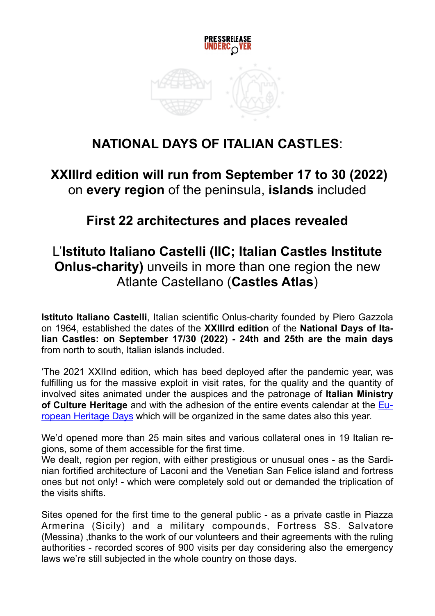

# **NATIONAL DAYS OF ITALIAN CASTLES**:

### **XXIIIrd edition will run from September 17 to 30 (2022)** on **every region** of the peninsula, **islands** included

### **First 22 architectures and places revealed**

## L'**Istituto Italiano Castelli (IIC; Italian Castles Institute Onlus-charity)** unveils in more than one region the new Atlante Castellano (**Castles Atlas**)

**Istituto Italiano Castelli**, Italian scientific Onlus-charity founded by Piero Gazzola on 1964, established the dates of the **XXIIIrd edition** of the **National Days of Italian Castles: on September 17/30 (2022) - 24th and 25th are the main days** from north to south, Italian islands included.

'The 2021 XXIInd edition, which has beed deployed after the pandemic year, was fulfilling us for the massive exploit in visit rates, for the quality and the quantity of involved sites animated under the auspices and the patronage of **Italian Ministry of Culture Heritage** and with the adhesion of the entire events calendar at the [Eu](https://www.europeanheritagedays.com)[ropean Heritage Days](https://www.europeanheritagedays.com) which will be organized in the same dates also this year.

We'd opened more than 25 main sites and various collateral ones in 19 Italian regions, some of them accessible for the first time.

We dealt, region per region, with either prestigious or unusual ones - as the Sardinian fortified architecture of Laconi and the Venetian San Felice island and fortress ones but not only! - which were completely sold out or demanded the triplication of the visits shifts.

Sites opened for the first time to the general public - as a private castle in Piazza Armerina (Sicily) and a military compounds, Fortress SS. Salvatore (Messina) ,thanks to the work of our volunteers and their agreements with the ruling authorities - recorded scores of 900 visits per day considering also the emergency laws we're still subjected in the whole country on those days.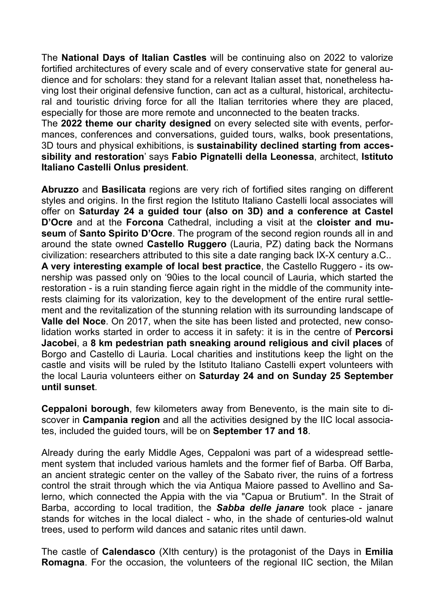The **National Days of Italian Castles** will be continuing also on 2022 to valorize fortified architectures of every scale and of every conservative state for general audience and for scholars: they stand for a relevant Italian asset that, nonetheless having lost their original defensive function, can act as a cultural, historical, architectural and touristic driving force for all the Italian territories where they are placed, especially for those are more remote and unconnected to the beaten tracks.

The **2022 theme our charity designed** on every selected site with events, performances, conferences and conversations, guided tours, walks, book presentations, 3D tours and physical exhibitions, is **sustainability declined starting from accessibility and restoration**' says **Fabio Pignatelli della Leonessa**, architect, **Istituto Italiano Castelli Onlus president**.

**Abruzzo** and **Basilicata** regions are very rich of fortified sites ranging on different styles and origins. In the first region the Istituto Italiano Castelli local associates will offer on **Saturday 24 a guided tour (also on 3D) and a conference at Castel D'Ocre** and at the **Forcona** Cathedral, including a visit at the **cloister and museum** of **Santo Spirito D'Ocre**. The program of the second region rounds all in and around the state owned **Castello Ruggero** (Lauria, PZ) dating back the Normans civilization: researchers attributed to this site a date ranging back IX-X century a.C.. **A very interesting example of local best practice**, the Castello Ruggero - its ownership was passed only on '90ies to the local council of Lauria, which started the restoration - is a ruin standing fierce again right in the middle of the community interests claiming for its valorization, key to the development of the entire rural settlement and the revitalization of the stunning relation with its surrounding landscape of **Valle del Noce**. On 2017, when the site has been listed and protected, new consolidation works started in order to access it in safety: it is in the centre of **Percorsi Jacobei**, a **8 km pedestrian path sneaking around religious and civil places** of Borgo and Castello di Lauria. Local charities and institutions keep the light on the castle and visits will be ruled by the Istituto Italiano Castelli expert volunteers with the local Lauria volunteers either on **Saturday 24 and on Sunday 25 September until sunset**.

**Ceppaloni borough**, few kilometers away from Benevento, is the main site to discover in **Campania region** and all the activities designed by the IIC local associates, included the guided tours, will be on **September 17 and 18**.

Already during the early Middle Ages, Ceppaloni was part of a widespread settlement system that included various hamlets and the former fief of Barba. Off Barba, an ancient strategic center on the valley of the Sabato river, the ruins of a fortress control the strait through which the via Antiqua Maiore passed to Avellino and Salerno, which connected the Appia with the via "Capua or Brutium". In the Strait of Barba, according to local tradition, the *Sabba delle janare* took place - janare stands for witches in the local dialect - who, in the shade of centuries-old walnut trees, used to perform wild dances and satanic rites until dawn.

The castle of **Calendasco** (XIth century) is the protagonist of the Days in **Emilia Romagna**. For the occasion, the volunteers of the regional IIC section, the Milan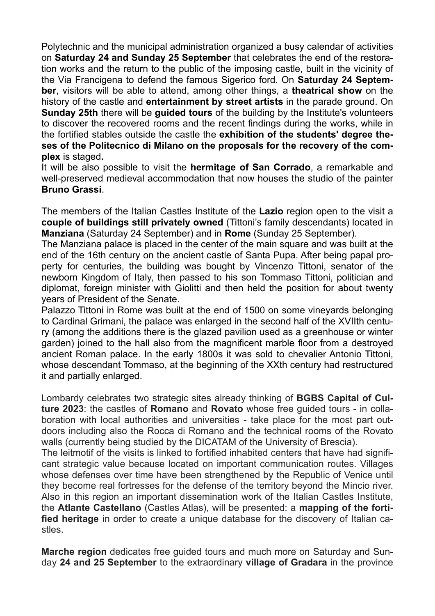Polytechnic and the municipal administration organized a busy calendar of activities on **Saturday 24 and Sunday 25 September** that celebrates the end of the restoration works and the return to the public of the imposing castle, built in the vicinity of the Via Francigena to defend the famous Sigerico ford. On **Saturday 24 September**, visitors will be able to attend, among other things, a **theatrical show** on the history of the castle and **entertainment by street artists** in the parade ground. On **Sunday 25th** there will be **guided tours** of the building by the Institute's volunteers to discover the recovered rooms and the recent findings during the works, while in the fortified stables outside the castle the **exhibition of the students' degree theses of the Politecnico di Milano on the proposals for the recovery of the complex** is staged**.**

It will be also possible to visit the **hermitage of San Corrado**, a remarkable and well-preserved medieval accommodation that now houses the studio of the painter **Bruno Grassi**.

The members of the Italian Castles Institute of the **Lazio** region open to the visit a **couple of buildings still privately owned** (Tittoni's family descendants) located in **Manziana** (Saturday 24 September) and in **Rome** (Sunday 25 September).

The Manziana palace is placed in the center of the main square and was built at the end of the 16th century on the ancient castle of Santa Pupa. After being papal property for centuries, the building was bought by Vincenzo Tittoni, senator of the newborn Kingdom of Italy, then passed to his son Tommaso Tittoni, politician and diplomat, foreign minister with Giolitti and then held the position for about twenty years of President of the Senate.

Palazzo Tittoni in Rome was built at the end of 1500 on some vineyards belonging to Cardinal Grimani, the palace was enlarged in the second half of the XVIIth century (among the additions there is the glazed pavilion used as a greenhouse or winter garden) joined to the hall also from the magnificent marble floor from a destroyed ancient Roman palace. In the early 1800s it was sold to chevalier Antonio Tittoni, whose descendant Tommaso, at the beginning of the XXth century had restructured it and partially enlarged.

Lombardy celebrates two strategic sites already thinking of **BGBS Capital of Culture 2023**: the castles of **Romano** and **Rovato** whose free guided tours - in collaboration with local authorities and universities - take place for the most part outdoors including also the Rocca di Romano and the technical rooms of the Rovato walls (currently being studied by the DICATAM of the University of Brescia).

The leitmotif of the visits is linked to fortified inhabited centers that have had significant strategic value because located on important communication routes. Villages whose defenses over time have been strengthened by the Republic of Venice until they become real fortresses for the defense of the territory beyond the Mincio river. Also in this region an important dissemination work of the Italian Castles Institute, the **Atlante Castellano** (Castles Atlas), will be presented: a **mapping of the fortified heritage** in order to create a unique database for the discovery of Italian castles.

**Marche region** dedicates free guided tours and much more on Saturday and Sunday **24 and 25 September** to the extraordinary **village of Gradara** in the province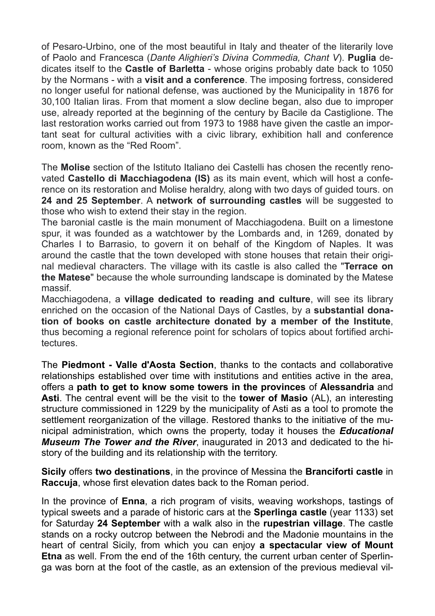of Pesaro-Urbino, one of the most beautiful in Italy and theater of the literarily love of Paolo and Francesca (*Dante Alighieri's Divina Commedia, Chant V*). **Puglia** dedicates itself to the **Castle of Barletta** - whose origins probably date back to 1050 by the Normans - with a **visit and a conference**. The imposing fortress, considered no longer useful for national defense, was auctioned by the Municipality in 1876 for 30,100 Italian liras. From that moment a slow decline began, also due to improper use, already reported at the beginning of the century by Bacile da Castiglione. The last restoration works carried out from 1973 to 1988 have given the castle an important seat for cultural activities with a civic library, exhibition hall and conference room, known as the "Red Room".

The **Molise** section of the Istituto Italiano dei Castelli has chosen the recently renovated **Castello di Macchiagodena (IS)** as its main event, which will host a conference on its restoration and Molise heraldry, along with two days of guided tours. on **24 and 25 September**. A **network of surrounding castles** will be suggested to those who wish to extend their stay in the region.

The baronial castle is the main monument of Macchiagodena. Built on a limestone spur, it was founded as a watchtower by the Lombards and, in 1269, donated by Charles I to Barrasio, to govern it on behalf of the Kingdom of Naples. It was around the castle that the town developed with stone houses that retain their original medieval characters. The village with its castle is also called the "**Terrace on the Matese**" because the whole surrounding landscape is dominated by the Matese massif.

Macchiagodena, a **village dedicated to reading and culture**, will see its library enriched on the occasion of the National Days of Castles, by a **substantial donation of books on castle architecture donated by a member of the Institute**, thus becoming a regional reference point for scholars of topics about fortified architectures.

The **Piedmont - Valle d'Aosta Section**, thanks to the contacts and collaborative relationships established over time with institutions and entities active in the area, offers a **path to get to know some towers in the provinces** of **Alessandria** and **Asti**. The central event will be the visit to the **tower of Masio** (AL), an interesting structure commissioned in 1229 by the municipality of Asti as a tool to promote the settlement reorganization of the village. Restored thanks to the initiative of the municipal administration, which owns the property, today it houses the *Educational Museum The Tower and the River*, inaugurated in 2013 and dedicated to the history of the building and its relationship with the territory.

**Sicily** offers **two destinations**, in the province of Messina the **Branciforti castle** in **Raccuja**, whose first elevation dates back to the Roman period.

In the province of **Enna**, a rich program of visits, weaving workshops, tastings of typical sweets and a parade of historic cars at the **Sperlinga castle** (year 1133) set for Saturday **24 September** with a walk also in the **rupestrian village**. The castle stands on a rocky outcrop between the Nebrodi and the Madonie mountains in the heart of central Sicily, from which you can enjoy **a spectacular view of Mount Etna** as well. From the end of the 16th century, the current urban center of Sperlinga was born at the foot of the castle, as an extension of the previous medieval vil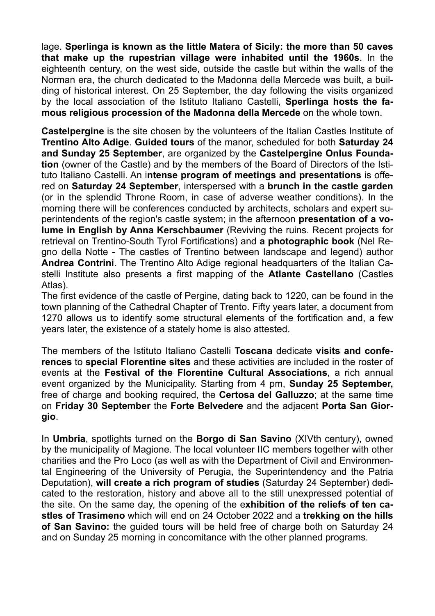lage. **Sperlinga is known as the little Matera of Sicily: the more than 50 caves that make up the rupestrian village were inhabited until the 1960s**. In the eighteenth century, on the west side, outside the castle but within the walls of the Norman era, the church dedicated to the Madonna della Mercede was built, a building of historical interest. On 25 September, the day following the visits organized by the local association of the Istituto Italiano Castelli, **Sperlinga hosts the famous religious procession of the Madonna della Mercede** on the whole town.

**Castelpergine** is the site chosen by the volunteers of the Italian Castles Institute of **Trentino Alto Adige**. **Guided tours** of the manor, scheduled for both **Saturday 24 and Sunday 25 September**, are organized by the **Castelpergine Onlus Foundation** (owner of the Castle) and by the members of the Board of Directors of the Istituto Italiano Castelli. An i**ntense program of meetings and presentations** is offered on **Saturday 24 September**, interspersed with a **brunch in the castle garden** (or in the splendid Throne Room, in case of adverse weather conditions). In the morning there will be conferences conducted by architects, scholars and expert superintendents of the region's castle system; in the afternoon **presentation of a volume in English by Anna Kerschbaumer** (Reviving the ruins. Recent projects for retrieval on Trentino-South Tyrol Fortifications) and **a photographic book** (Nel Regno della Notte - The castles of Trentino between landscape and legend) author **Andrea Contrini**. The Trentino Alto Adige regional headquarters of the Italian Castelli Institute also presents a first mapping of the **Atlante Castellano** (Castles Atlas).

The first evidence of the castle of Pergine, dating back to 1220, can be found in the town planning of the Cathedral Chapter of Trento. Fifty years later, a document from 1270 allows us to identify some structural elements of the fortification and, a few years later, the existence of a stately home is also attested.

The members of the Istituto Italiano Castelli **Toscana** dedicate **visits and conferences** to **special Florentine sites** and these activities are included in the roster of events at the **Festival of the Florentine Cultural Associations**, a rich annual event organized by the Municipality. Starting from 4 pm, **Sunday 25 September,** free of charge and booking required, the **Certosa del Galluzzo**; at the same time on **Friday 30 September** the **Forte Belvedere** and the adjacent **Porta San Giorgio**.

In **Umbria**, spotlights turned on the **Borgo di San Savino** (XIVth century), owned by the municipality of Magione. The local volunteer IIC members together with other charities and the Pro Loco (as well as with the Department of Civil and Environmental Engineering of the University of Perugia, the Superintendency and the Patria Deputation), **will create a rich program of studies** (Saturday 24 September) dedicated to the restoration, history and above all to the still unexpressed potential of the site. On the same day, the opening of the e**xhibition of the reliefs of ten castles of Trasimeno** which will end on 24 October 2022 and a **trekking on the hills of San Savino:** the guided tours will be held free of charge both on Saturday 24 and on Sunday 25 morning in concomitance with the other planned programs.